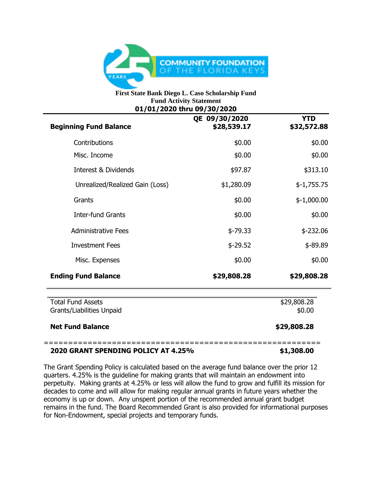

## **First State Bank Diego L. Caso Scholarship Fund Fund Activity Statement 01/01/2020 thru 09/30/2020**

| <b>Beginning Fund Balance</b>                         | QE 09/30/2020<br>\$28,539.17 | <b>YTD</b><br>\$32,572.88 |
|-------------------------------------------------------|------------------------------|---------------------------|
| Contributions                                         | \$0.00                       | \$0.00                    |
| Misc. Income                                          | \$0.00                       | \$0.00                    |
| Interest & Dividends                                  | \$97.87                      | \$313.10                  |
| Unrealized/Realized Gain (Loss)                       | \$1,280.09                   | $$-1,755.75$              |
| Grants                                                | \$0.00                       | $$-1,000.00$              |
| <b>Inter-fund Grants</b>                              | \$0.00                       | \$0.00                    |
| <b>Administrative Fees</b>                            | $$-79.33$                    | $$-232.06$                |
| <b>Investment Fees</b>                                | $$-29.52$                    | $$ -89.89$                |
| Misc. Expenses                                        | \$0.00                       | \$0.00                    |
| <b>Ending Fund Balance</b>                            | \$29,808.28                  | \$29,808.28               |
| <b>Total Fund Assets</b><br>Grants/Liabilities Unpaid |                              | \$29,808.28<br>\$0.00     |
| <b>Net Fund Balance</b>                               |                              | \$29,808.28               |

## **2020 GRANT SPENDING POLICY AT 4.25% \$1,308.00**

The Grant Spending Policy is calculated based on the average fund balance over the prior 12 quarters. 4.25% is the guideline for making grants that will maintain an endowment into perpetuity. Making grants at 4.25% or less will allow the fund to grow and fulfill its mission for decades to come and will allow for making regular annual grants in future years whether the economy is up or down. Any unspent portion of the recommended annual grant budget remains in the fund. The Board Recommended Grant is also provided for informational purposes for Non-Endowment, special projects and temporary funds.